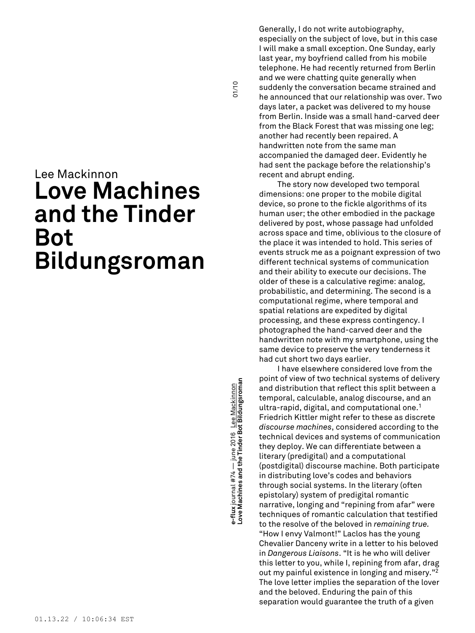# Lee Mackinnon **Love Machines and the Tinder Bot Bildungsroman**

**Love Machines and the Tinder Bot Bildungsroman** 01/10 e-flux journal #74 — june 2016 <u>Lee Mackinnon</u><br>Love Machines and the Tinder Bot Bildungsroman **e-flux** journal #74 — june 2016 Lee Mackinnon

01/10

Generally, I do not write autobiography, especially on the subject of love, but in this case I will make a small exception. One Sunday, early last year, my boyfriend called from his mobile telephone. He had recently returned from Berlin and we were chatting quite generally when suddenly the conversation became strained and he announced that our relationship was over. Two days later, a packet was delivered to my house from Berlin. Inside was a small hand-carved deer from the Black Forest that was missing one leg; another had recently been repaired. A handwritten note from the same man accompanied the damaged deer. Evidently he had sent the package before the relationship's recent and abrupt ending.

The story now developed two temporal dimensions: one proper to the mobile digital device, so prone to the fickle algorithms of its human user; the other embodied in the package delivered by post, whose passage had unfolded across space and time, oblivious to the closure of the place it was intended to hold. This series of events struck me as a poignant expression of two different technical systems of communication and their ability to execute our decisions. The older of these is a calculative regime: analog, probabilistic, and determining. The second is a computational regime, where temporal and spatial relations are expedited by digital processing, and these express contingency. I photographed the hand-carved deer and the handwritten note with my smartphone, using the same device to preserve the very tenderness it had cut short two days earlier.

I have elsewhere considered love from the point of view of two technical systems of delivery and distribution that reflect this split between a temporal, calculable, analog discourse, and an ultra-rapid, digital, and computational one. 1 Friedrich Kittler might refer to these as discrete *discourse machines*, considered according to the technical devices and systems of communication they deploy. We can differentiate between a literary (predigital) and a computational (postdigital) discourse machine. Both participate in distributing love's codes and behaviors through social systems. In the literary (often epistolary) system of predigital romantic narrative, longing and "repining from afar" were techniques of romantic calculation that testified to the resolve of the beloved in *remaining true.* "How I envy Valmont!" Laclos has the young Chevalier Danceny write in a letter to his beloved in *Dangerous Liaisons*. "It is he who will deliver this letter to you, while I, repining from afar, drag out my painful existence in longing and misery." 2 The love letter implies the separation of the lover and the beloved. Enduring the pain of this separation would guarantee the truth of a given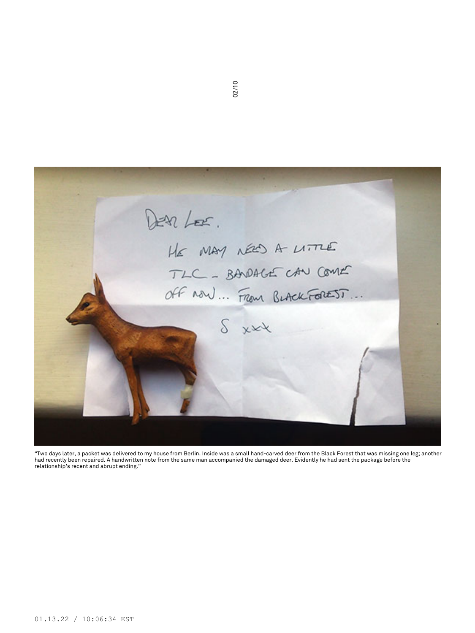

"Two days later, a packet was delivered to my house from Berlin. Inside was a small hand-carved deer from the Black Forest that was missing one leg; another had recently been repaired. A handwritten note from the same man accompanied the damaged deer. Evidently he had sent the package before the relationship's recent and abrupt ending."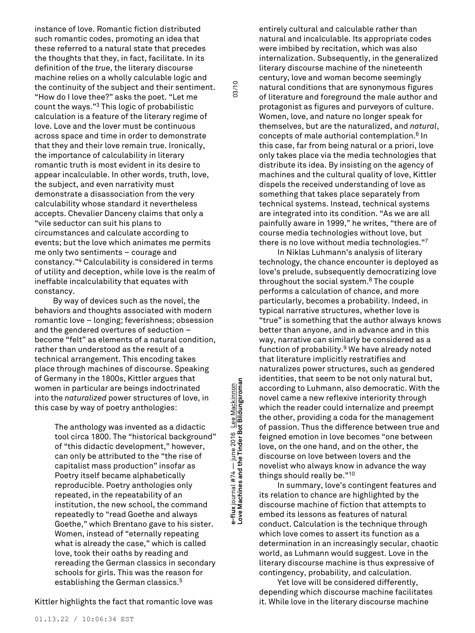instance of love. Romantic fiction distributed such romantic codes, promoting an idea that these referred to a natural state that precedes the thoughts that they, in fact, facilitate. In its definition of the *true*, the literary discourse machine relies on a wholly calculable logic and the continuity of the subject and their sentiment. "How do I love thee?" asks the poet. "Let me count the ways." <sup>3</sup> This logic of probabilistic calculation is a feature of the literary regime of love. Love and the lover must be continuous across space and time in order to demonstrate that they and their love remain true. Ironically, the importance of calculability in literary romantic truth is most evident in its desire to appear incalculable. In other words, truth, love, the subject, and even narrativity must demonstrate a disassociation from the very calculability whose standard it nevertheless accepts. Chevalier Danceny claims that only a "vile seductor can suit his plans to circumstances and calculate according to events; but the love which animates me permits me only two sentiments – courage and constancy." <sup>4</sup> Calculability is considered in terms of utility and deception, while love is the realm of ineffable incalculability that equates with constancy.

By way of devices such as the novel, the behaviors and thoughts associated with modern romantic love – longing; feverishness; obsession and the gendered overtures of seduction – become "felt" as elements of a natural condition, rather than understood as the result of a technical arrangement. This encoding takes place through machines of discourse. Speaking of Germany in the 1800s, Kittler argues that women in particular are beings indoctrinated into the *naturalized* power structures of love, in this case by way of poetry anthologies:

> The anthology was invented as a didactic tool circa 1800. The "historical background" of "this didactic development," however, can only be attributed to the "the rise of capitalist mass production" insofar as Poetry itself became alphabetically reproducible. Poetry anthologies only repeated, in the repeatability of an institution, the new school, the command repeatedly to "read Goethe and always Goethe," which Brentano gave to his sister. Women, instead of "eternally repeating what is already the case," which is called love, took their oaths by reading and rereading the German classics in secondary schools for girls. This was the reason for establishing the German classics. 5

Kittler highlights the fact that romantic love was

**Love Machines and the Tinder Bot Bildungsroman** 03/10 e-flux journal #74 — june 2016 <u>Lee Mackinnon</u><br>Love Machines and the Tinder Bot Bildungsroman **e-flux** journal #74 — june 2016 Lee Mackinnon

03/10

entirely cultural and calculable rather than natural and incalculable. Its appropriate codes were imbibed by recitation, which was also internalization. Subsequently, in the generalized literary discourse machine of the nineteenth century, love and woman become seemingly natural conditions that are synonymous figures of literature and foreground the male author and protagonist as figures and purveyors of culture. Women, love, and nature no longer speak for themselves, but are the naturalized, and *natural*, concepts of male authorial contemplation. <sup>6</sup> In this case, far from being natural or a priori, love only takes place via the media technologies that distribute its idea. By insisting on the agency of machines and the cultural quality of love, Kittler dispels the received understanding of love as something that takes place separately from technical systems. Instead, technical systems are integrated into its condition. "As we are all painfully aware in 1999," he writes, "there are of course media technologies without love, but there is no love without media technologies." 7

In Niklas Luhmann's analysis of literary technology, the chance encounter is deployed as love's prelude, subsequently democratizing love throughout the social system. <sup>8</sup> The couple performs a calculation of chance, and more particularly, becomes a probability. Indeed, in typical narrative structures, whether love is "true" is something that the author always knows better than anyone, and in advance and in this way, narrative can similarly be considered as a function of probability. <sup>9</sup> We have already noted that literature implicitly restratifies and naturalizes power structures, such as gendered identities, that seem to be not only natural but, according to Luhmann, also democratic. With the novel came a new reflexive interiority through which the reader could internalize and preempt the other, providing a coda for the management of passion. Thus the difference between true and feigned emotion in love becomes "one between love, on the one hand, and on the other, the discourse on love between lovers and the novelist who always know in advance the way things should really be." 10

In summary, love's contingent features and its relation to chance are highlighted by the discourse machine of fiction that attempts to embed its lessons as features of natural conduct. Calculation is the technique through which love comes to assert its function as a determination in an increasingly secular, chaotic world, as Luhmann would suggest. Love in the literary discourse machine is thus expressive of contingency, probability, and calculation.

Yet love will be considered differently, depending which discourse machine facilitates it. While love in the literary discourse machine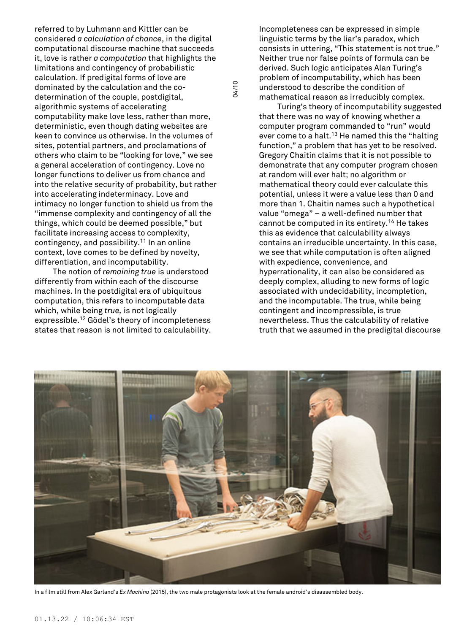referred to by Luhmann and Kittler can be considered *a calculation of chance*, in the digital computational discourse machine that succeeds it, love is rather *a computation* that highlights the limitations and contingency of probabilistic calculation. If predigital forms of love are dominated by the calculation and the codetermination of the couple, postdigital, algorithmic systems of accelerating computability make love less, rather than more, deterministic, even though dating websites are keen to convince us otherwise. In the volumes of sites, potential partners, and proclamations of others who claim to be "looking for love," we see a general acceleration of contingency. Love no longer functions to deliver us from chance and into the relative security of probability, but rather into accelerating indeterminacy. Love and intimacy no longer function to shield us from the "immense complexity and contingency of all the things, which could be deemed possible," but facilitate increasing access to complexity, contingency, and possibility. <sup>11</sup> In an online context, love comes to be defined by novelty, differentiation, and incomputability.

The notion of *remaining true* is understood differently from within each of the discourse machines. In the postdigital era of ubiquitous computation, this refers to incomputable data which, while being *true,* is not logically expressible. <sup>12</sup> Gödel's theory of incompleteness states that reason is not limited to calculability. Incompleteness can be expressed in simple linguistic terms by the liar's paradox, which consists in uttering, "This statement is not true." Neither true nor false points of formula can be derived. Such logic anticipates Alan Turing's problem of incomputability, which has been understood to describe the condition of mathematical reason as irreducibly complex.

Turing's theory of incomputability suggested that there was no way of knowing whether a computer program commanded to "run" would ever come to a halt.<sup>13</sup> He named this the "halting function," a problem that has yet to be resolved. Gregory Chaitin claims that it is not possible to demonstrate that any computer program chosen at random will ever halt; no algorithm or mathematical theory could ever calculate this potential, unless it were a value less than 0 and more than 1. Chaitin names such a hypothetical value "omega" – a well-defined number that cannot be computed in its entirety. <sup>14</sup> He takes this as evidence that calculability always contains an irreducible uncertainty. In this case, we see that while computation is often aligned with expedience, convenience, and hyperrationality, it can also be considered as deeply complex, alluding to new forms of logic associated with undecidability, incompletion, and the incomputable. The true, while being contingent and incompressible, is true nevertheless. Thus the calculability of relative truth that we assumed in the predigital discourse



04/10

In a film still from Alex Garland's *Ex Machina* (2015), the two male protagonists look at the female android's disassembled body.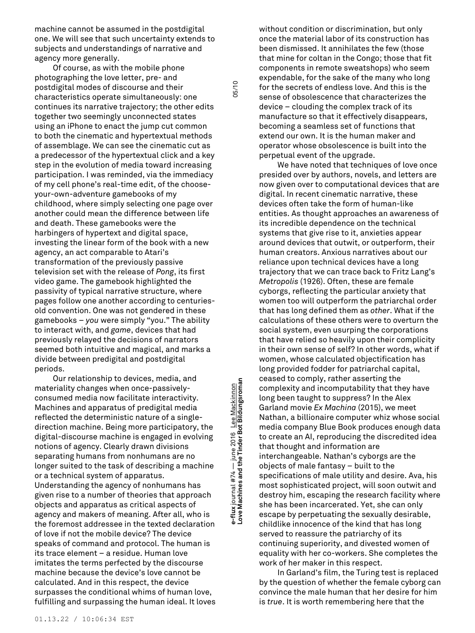machine cannot be assumed in the postdigital one. We will see that such uncertainty extends to subjects and understandings of narrative and agency more generally.

Of course, as with the mobile phone photographing the love letter, pre- and postdigital modes of discourse and their characteristics operate simultaneously: one continues its narrative trajectory; the other edits together two seemingly unconnected states using an iPhone to enact the jump cut common to both the cinematic and hypertextual methods of assemblage. We can see the cinematic cut as a predecessor of the hypertextual click and a key step in the evolution of media toward increasing participation. I was reminded, via the immediacy of my cell phone's real-time edit, of the chooseyour-own-adventure gamebooks of my childhood, where simply selecting one page over another could mean the difference between life and death. These gamebooks were the harbingers of hypertext and digital space, investing the linear form of the book with a new agency, an act comparable to Atari's transformation of the previously passive television set with the release of *Pong*, its first video game. The gamebook highlighted the passivity of typical narrative structure, where pages follow one another according to centuriesold convention. One was not gendered in these gamebooks – *you* were simply "you." The ability to interact with, and *game*, devices that had previously relayed the decisions of narrators seemed both intuitive and magical, and marks a divide between predigital and postdigital periods.

Our relationship to devices, media, and materiality changes when once-passivelyconsumed media now facilitate interactivity. Machines and apparatus of predigital media reflected the deterministic nature of a singledirection machine. Being more participatory, the digital-discourse machine is engaged in evolving notions of agency. Clearly drawn divisions separating humans from nonhumans are no longer suited to the task of describing a machine or a technical system of apparatus. Understanding the agency of nonhumans has given rise to a number of theories that approach objects and apparatus as critical aspects of agency and makers of meaning. After all, who is the foremost addressee in the texted declaration of love if not the mobile device? The device speaks of command and protocol. The human is its trace element – a residue. Human love imitates the terms perfected by the discourse machine because the device's love cannot be calculated. And in this respect, the device surpasses the conditional whims of human love, fulfilling and surpassing the human ideal. It loves

01.13.22 / 10:06:34 EST

**Love Machines and the Tinder Bot Bildungsroman** 05/10 e-flux journal #74 — june 2016 <u>Lee Mackinnon</u><br>Love Machines and the Tinder Bot Bildungsroman **e-flux** journal #74 — june 2016 Lee Mackinnon

05/10

without condition or discrimination, but only once the material labor of its construction has been dismissed. It annihilates the few (those that mine for coltan in the Congo; those that fit components in remote sweatshops) who seem expendable, for the sake of the many who long for the secrets of endless love. And this is the sense of obsolescence that characterizes the device – clouding the complex track of its manufacture so that it effectively disappears, becoming a seamless set of functions that extend our own. It is the human maker and operator whose obsolescence is built into the perpetual event of the upgrade.

We have noted that techniques of love once presided over by authors, novels, and letters are now given over to computational devices that are digital. In recent cinematic narrative, these devices often take the form of human-like entities. As thought approaches an awareness of its incredible dependence on the technical systems that give rise to it, anxieties appear around devices that outwit, or outperform, their human creators. Anxious narratives about our reliance upon technical devices have a long trajectory that we can trace back to Fritz Lang's *Metropolis* (1926). Often, these are female cyborgs, reflecting the particular anxiety that women too will outperform the patriarchal order that has long defined them as *other*. What if the calculations of these others were to overturn the social system, even usurping the corporations that have relied so heavily upon their complicity in their own sense of self? In other words, what if women, whose calculated objectification has long provided fodder for patriarchal capital, ceased to comply, rather asserting the complexity and incomputability that they have long been taught to suppress? In the Alex Garland movie *Ex Machina* (2015), we meet Nathan, a billionaire computer whiz whose social media company Blue Book produces enough data to create an AI, reproducing the discredited idea that thought and information are interchangeable. Nathan's cyborgs are the objects of male fantasy – built to the specifications of male utility and desire. Ava, his most sophisticated project, will soon outwit and destroy him, escaping the research facility where she has been incarcerated. Yet, she can only escape by perpetuating the sexually desirable, childlike innocence of the kind that has long served to reassure the patriarchy of its continuing superiority, and divested women of equality with her co-workers. She completes the work of her maker in this respect.

In Garland's film, the Turing test is replaced by the question of whether the female cyborg can convince the male human that her desire for him is *true*. It is worth remembering here that the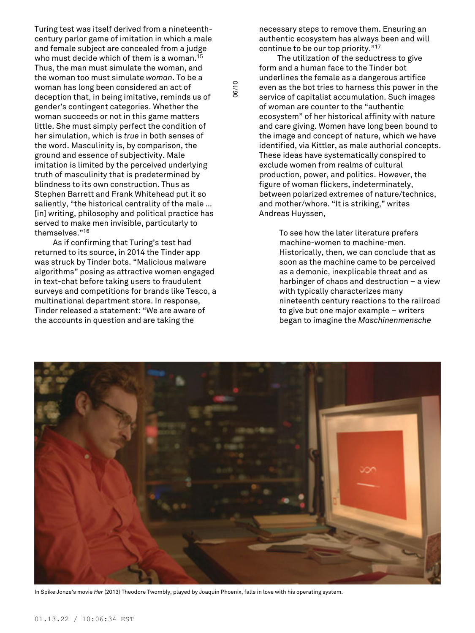Turing test was itself derived from a nineteenthcentury parlor game of imitation in which a male and female subject are concealed from a judge who must decide which of them is a woman. 15 Thus, the man must simulate the woman, and the woman too must simulate *woman*. To be a woman has long been considered an act of deception that, in being imitative, reminds us of gender's contingent categories. Whether the woman succeeds or not in this game matters little. She must simply perfect the condition of her simulation, which is *true* in both senses of the word. Masculinity is, by comparison, the ground and essence of subjectivity. Male imitation is limited by the perceived underlying truth of masculinity that is predetermined by blindness to its own construction. Thus as Stephen Barrett and Frank Whitehead put it so saliently, "the historical centrality of the male … [in] writing, philosophy and political practice has served to make men invisible, particularly to themselves." 16

As if confirming that Turing's test had returned to its source, in 2014 the Tinder app was struck by Tinder bots. "Malicious malware algorithms" posing as attractive women engaged in text-chat before taking users to fraudulent surveys and competitions for brands like Tesco, a multinational department store. In response, Tinder released a statement: "We are aware of the accounts in question and are taking the

necessary steps to remove them. Ensuring an authentic ecosystem has always been and will continue to be our top priority." 17

The utilization of the seductress to give form and a human face to the Tinder bot underlines the female as a dangerous artifice even as the bot tries to harness this power in the service of capitalist accumulation. Such images of woman are counter to the "authentic ecosystem" of her historical affinity with nature and care giving. Women have long been bound to the image and concept of nature, which we have identified, via Kittler, as male authorial concepts. These ideas have systematically conspired to exclude women from realms of cultural production, power, and politics. However, the figure of woman flickers, indeterminately, between polarized extremes of nature/technics, and mother/whore. "It is striking," writes Andreas Huyssen,

> To see how the later literature prefers machine-women to machine-men. Historically, then, we can conclude that as soon as the machine came to be perceived as a demonic, inexplicable threat and as harbinger of chaos and destruction – a view with typically characterizes many nineteenth century reactions to the railroad to give but one major example – writers began to imagine the *Maschinenmensche*



06/10

In Spike Jonze's movie *Her* (2013) Theodore Twombly, played by Joaquin Phoenix, falls in love with his operating system.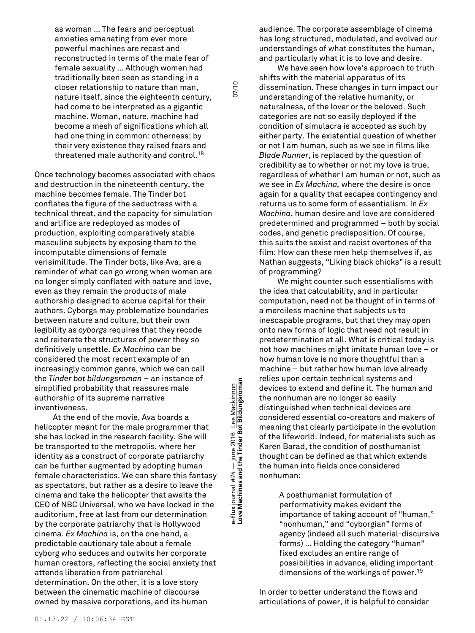as woman … The fears and perceptual anxieties emanating from ever more powerful machines are recast and reconstructed in terms of the male fear of female sexuality … Although women had traditionally been seen as standing in a closer relationship to nature than man, nature itself, since the eighteenth century, had come to be interpreted as a gigantic machine. Woman, nature, machine had become a mesh of significations which all had one thing in common: otherness; by their very existence they raised fears and threatened male authority and control. 18

Once technology becomes associated with chaos and destruction in the nineteenth century, the machine becomes female. The Tinder bot conflates the figure of the seductress with a technical threat, and the capacity for simulation and artifice are redeployed as modes of production, exploiting comparatively stable masculine subjects by exposing them to the incomputable dimensions of female verisimilitude. The Tinder bots, like Ava, are a reminder of what can go wrong when women are no longer simply conflated with nature and love, even as they remain the products of male authorship designed to accrue capital for their authors. Cyborgs may problematize boundaries between nature and culture, but their own legibility as *cyborgs* requires that they recode and reiterate the structures of power they so definitively unsettle. *Ex Machina* can be considered the most recent example of an increasingly common genre, which we can call the *Tinder bot bildungsroman* – an instance of simplified probability that reassures male authorship of its supreme narrative inventiveness.

At the end of the movie, Ava boards a helicopter meant for the male programmer that she has locked in the research facility. She will be transported to the metropolis, where her identity as a construct of corporate patriarchy can be further augmented by adopting human female characteristics. We can share this fantasy as spectators, but rather as a desire to leave the cinema and take the helicopter that awaits the CEO of NBC Universal, who we have locked in the auditorium, free at last from our determination by the corporate patriarchy that is Hollywood cinema. *Ex Machina* is, on the one hand, a predictable cautionary tale about a female cyborg who seduces and outwits her corporate human creators, reflecting the social anxiety that attends liberation from patriarchal determination. On the other, it is a love story between the cinematic machine of discourse owned by massive corporations, and its human

**Love Machines and the Tinder Bot Bildungsroman** 07/10 x journal  $#74$   $-$  june 2016 Lee Mackinnon<br>Machines and the Tinder Bot Bildungsroman **e-flux** journal #74 — june 2016 Lee Mackinnon e-flux j<br>Love M

07/10

audience. The corporate assemblage of cinema has long structured, modulated, and evolved our understandings of what constitutes the human, and particularly what it is to love and desire.

We have seen how love's approach to truth shifts with the material apparatus of its dissemination. These changes in turn impact our understanding of the relative humanity, or naturalness, of the lover or the beloved. Such categories are not so easily deployed if the condition of simulacra is accepted as such by either party. The existential question of whether or not I am human, such as we see in films like *Blade Runner*, is replaced by the question of credibility as to whether or not my love is true, regardless of whether I am human or not, such as we see in *Ex Machina,* where the desire is once again for a quality that escapes contingency and returns us to some form of essentialism. In *Ex Machina*, human desire and love are considered predetermined and programmed – both by social codes, and genetic predisposition. Of course, this suits the sexist and racist overtones of the film: How can these men help themselves if, as Nathan suggests, "Liking black chicks" is a result of programming?

We might counter such essentialisms with the idea that calculability, and in particular computation, need not be thought of in terms of a merciless machine that subjects us to inescapable programs, but that they may open onto new forms of logic that need not result in predetermination at all. What is critical today is not how machines might imitate human love – or how human love is no more thoughtful than a machine – but rather how human love already relies upon certain technical systems and devices to extend and define it. The human and the nonhuman are no longer so easily distinguished when technical devices are considered essential co-creators and makers of meaning that clearly participate in the evolution of the lifeworld. Indeed, for materialists such as Karen Barad, the condition of posthumanist thought can be defined as that which extends the human into fields once considered nonhuman:

> A posthumanist formulation of performativity makes evident the importance of taking account of "human," "nonhuman," and "cyborgian" forms of agency (indeed all such material-discursive forms) … Holding the category "human" fixed excludes an entire range of possibilities in advance, eliding important dimensions of the workings of power. 19

In order to better understand the flows and articulations of power, it is helpful to consider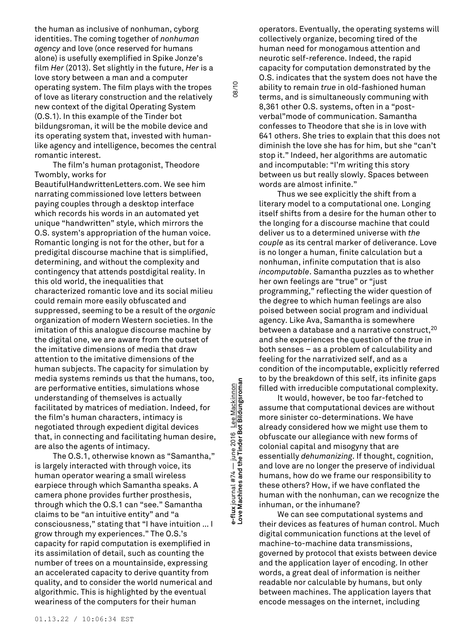the human as inclusive of nonhuman, cyborg identities. The coming together of *nonhuman agency* and love (once reserved for humans alone) is usefully exemplified in Spike Jonze's film *Her* (2013). Set slightly in the future, *Her* is a love story between a man and a computer operating system. The film plays with the tropes of love as literary construction and the relatively new context of the digital Operating System (O.S.1). In this example of the Tinder bot bildungsroman, it will be the mobile device and its operating system that, invested with humanlike agency and intelligence, becomes the central romantic interest.

The film's human protagonist, Theodore Twombly, works for

BeautifulHandwrittenLetters.com. We see him narrating commissioned love letters between paying couples through a desktop interface which records his words in an automated yet unique "handwritten" style, which mirrors the O.S. system's appropriation of the human voice. Romantic longing is not for the other, but for a predigital discourse machine that is simplified, determining, and without the complexity and contingency that attends postdigital reality. In this old world, the inequalities that characterized romantic love and its social milieu could remain more easily obfuscated and suppressed, seeming to be a result of the *organic* organization of modern Western societies. In the imitation of this analogue discourse machine by the digital one, we are aware from the outset of the imitative dimensions of media that draw attention to the imitative dimensions of the human subjects. The capacity for simulation by media systems reminds us that the humans, too, are performative entities, simulations whose understanding of themselves is actually facilitated by matrices of mediation. Indeed, for the film's human characters, intimacy is negotiated through expedient digital devices that, in connecting and facilitating human desire, are also the agents of intimacy.

The O.S.1, otherwise known as "Samantha," is largely interacted with through voice, its human operator wearing a small wireless earpiece through which Samantha speaks. A camera phone provides further prosthesis, through which the O.S.1 can "see." Samantha claims to be "an intuitive entity" and "a consciousness," stating that "I have intuition … I grow through my experiences." The O.S.'s capacity for rapid computation is exemplified in its assimilation of detail, such as counting the number of trees on a mountainside, expressing an accelerated capacity to derive quantity from quality, and to consider the world numerical and algorithmic. This is highlighted by the eventual weariness of the computers for their human

**Love Machines and the Tinder Bot Bildungsroman** 08/10 e-flux journal #74 — june 2016 <u>Lee Mackinnon</u><br>Love Machines and the Tinder Bot Bildungsroman **e-flux** journal #74 — june 2016 Lee Mackinnon

08/10

operators. Eventually, the operating systems will collectively organize, becoming tired of the human need for monogamous attention and neurotic self-reference. Indeed, the rapid capacity for computation demonstrated by the O.S. indicates that the system does not have the ability to remain *true* in old-fashioned human terms, and is simultaneously communing with 8,361 other O.S. systems, often in a "postverbal"mode of communication. Samantha confesses to Theodore that she is in love with 641 others. She tries to explain that this does not diminish the love she has for him, but she "can't stop it." Indeed, her algorithms are automatic and incomputable: "I'm writing this story between us but really slowly. Spaces between words are almost infinite."

Thus we see explicitly the shift from a literary model to a computational one. Longing itself shifts from a desire for the human other to the longing for a discourse machine that could deliver us to a determined universe with *the couple* as its central marker of deliverance. Love is no longer a human, finite calculation but a nonhuman, infinite computation that is also *incomputable*. Samantha puzzles as to whether her own feelings are "true" or "just programming," reflecting the wider question of the degree to which human feelings are also poised between social program and individual agency. Like Ava, Samantha is somewhere between a database and a narrative construct, 20 and she experiences the question of the *true* in both senses – as a problem of calculability and feeling for the narrativized self, and as a condition of the incomputable, explicitly referred to by the breakdown of this self, its infinite gaps filled with irreducible computational complexity.

It would, however, be too far-fetched to assume that computational devices are without more sinister co-determinations. We have already considered how we might use them to obfuscate our allegiance with new forms of colonial capital and misogyny that are essentially *dehumanizing*. If thought, cognition, and love are no longer the preserve of individual humans, how do we frame our responsibility to these others? How, if we have conflated the human with the nonhuman, can we recognize the inhuman, or the inhumane?

We can see computational systems and their devices as features of human control. Much digital communication functions at the level of machine-to-machine data transmissions, governed by protocol that exists between device and the application layer of encoding. In other words, a great deal of information is neither readable nor calculable by humans, but only between machines. The application layers that encode messages on the internet, including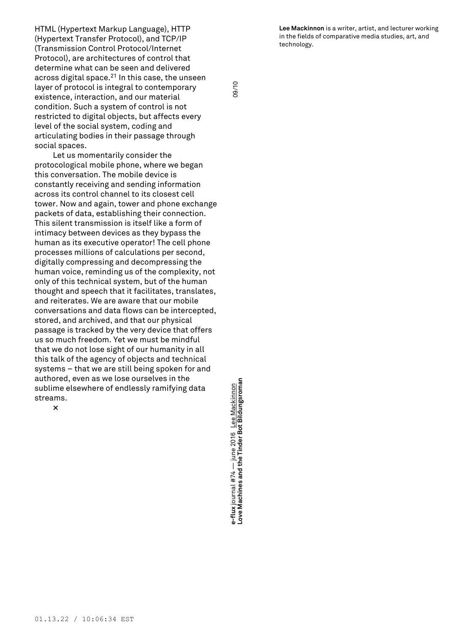**Lee Mackinnon** is a writer, artist, and lecturer working in the fields of comparative media studies, art, and technology.

HTML (Hypertext Markup Language), HTTP (Hypertext Transfer Protocol), and TCP/IP (Transmission Control Protocol/Internet Protocol), are architectures of control that determine what can be seen and delivered across digital space. <sup>21</sup> In this case, the unseen layer of protocol is integral to contemporary existence, interaction, and our material condition. Such a system of control is not restricted to digital objects, but affects every level of the social system, coding and articulating bodies in their passage through social spaces.

Let us momentarily consider the protocological mobile phone, where we began this conversation. The mobile device is constantly receiving and sending information across its control channel to its closest cell tower. Now and again, tower and phone exchange packets of data, establishing their connection. This silent transmission is itself like a form of intimacy between devices as they bypass the human as its executive operator! The cell phone processes millions of calculations per second, digitally compressing and decompressing the human voice, reminding us of the complexity, not only of this technical system, but of the human thought and speech that it facilitates, translates, and reiterates. We are aware that our mobile conversations and data flows can be intercepted, stored, and archived, and that our physical passage is tracked by the very device that offers us so much freedom. Yet we must be mindful that we do not lose sight of our humanity in all this talk of the agency of objects and technical systems – that we are still being spoken for and authored, even as we lose ourselves in the sublime elsewhere of endlessly ramifying data streams.

**×**

**Love Machines and the Tinder Bot Bildungsroman** 09/10 e-flux journal #74 — june 2016 <u>Lee Mackinnon</u><br>Love Machines and the Tinder Bot Bildungsroman **e-flux** journal #74 — june 2016 Lee Mackinnon

09/10